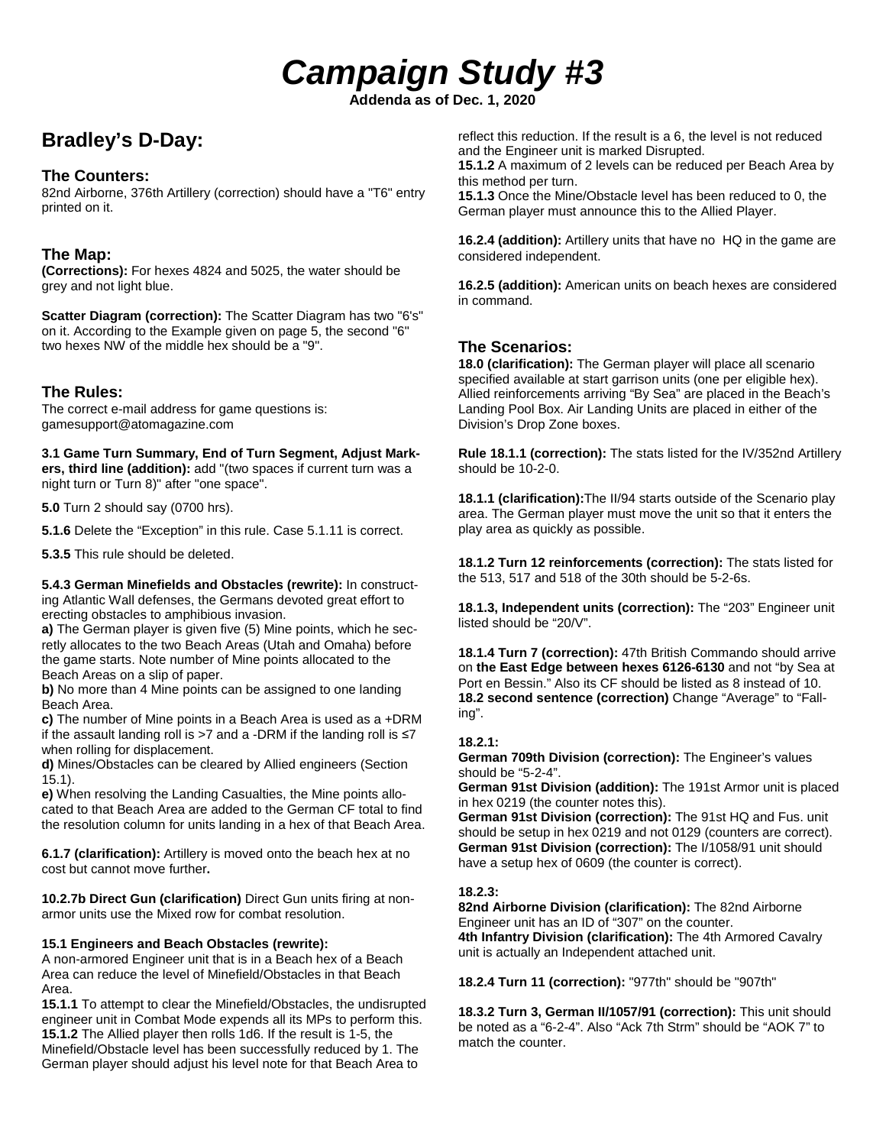# *Campaign Study #3*

**Addenda as of Dec. 1, 2020**

# **Bradley's D-Day:**

# **The Counters:**

82nd Airborne, 376th Artillery (correction) should have a "T6" entry printed on it.

# **The Map:**

**(Corrections):** For hexes 4824 and 5025, the water should be grey and not light blue.

**Scatter Diagram (correction):** The Scatter Diagram has two "6's" on it. According to the Example given on page 5, the second "6" two hexes NW of the middle hex should be a "9".

# **The Rules:**

The correct e-mail address for game questions is: gamesupport@atomagazine.com

**3.1 Game Turn Summary, End of Turn Segment, Adjust Markers, third line (addition):** add "(two spaces if current turn was a night turn or Turn 8)" after "one space".

**5.0** Turn 2 should say (0700 hrs).

**5.1.6** Delete the "Exception" in this rule. Case 5.1.11 is correct.

**5.3.5** This rule should be deleted.

**5.4.3 German Minefields and Obstacles (rewrite):** In constructing Atlantic Wall defenses, the Germans devoted great effort to erecting obstacles to amphibious invasion.

**a)** The German player is given five (5) Mine points, which he secretly allocates to the two Beach Areas (Utah and Omaha) before the game starts. Note number of Mine points allocated to the Beach Areas on a slip of paper.

**b)** No more than 4 Mine points can be assigned to one landing Beach Area.

**c)** The number of Mine points in a Beach Area is used as a +DRM if the assault landing roll is >7 and a -DRM if the landing roll is  $\leq 7$ when rolling for displacement.

**d)** Mines/Obstacles can be cleared by Allied engineers (Section 15.1).

**e)** When resolving the Landing Casualties, the Mine points allocated to that Beach Area are added to the German CF total to find the resolution column for units landing in a hex of that Beach Area.

**6.1.7 (clarification):** Artillery is moved onto the beach hex at no cost but cannot move further**.**

**10.2.7b Direct Gun (clarification)** Direct Gun units firing at nonarmor units use the Mixed row for combat resolution.

#### **15.1 Engineers and Beach Obstacles (rewrite):**

A non-armored Engineer unit that is in a Beach hex of a Beach Area can reduce the level of Minefield/Obstacles in that Beach Area.

**15.1.1** To attempt to clear the Minefield/Obstacles, the undisrupted engineer unit in Combat Mode expends all its MPs to perform this. **15.1.2** The Allied player then rolls 1d6. If the result is 1-5, the Minefield/Obstacle level has been successfully reduced by 1. The German player should adjust his level note for that Beach Area to

reflect this reduction. If the result is a 6, the level is not reduced and the Engineer unit is marked Disrupted.

**15.1.2** A maximum of 2 levels can be reduced per Beach Area by this method per turn.

**15.1.3** Once the Mine/Obstacle level has been reduced to 0, the German player must announce this to the Allied Player.

**16.2.4 (addition):** Artillery units that have no HQ in the game are considered independent.

**16.2.5 (addition):** American units on beach hexes are considered in command.

# **The Scenarios:**

**18.0 (clarification):** The German player will place all scenario specified available at start garrison units (one per eligible hex). Allied reinforcements arriving "By Sea" are placed in the Beach's Landing Pool Box. Air Landing Units are placed in either of the Division's Drop Zone boxes.

**Rule 18.1.1 (correction):** The stats listed for the IV/352nd Artillery should be 10-2-0.

**18.1.1 (clarification):**The II/94 starts outside of the Scenario play area. The German player must move the unit so that it enters the play area as quickly as possible.

**18.1.2 Turn 12 reinforcements (correction):** The stats listed for the 513, 517 and 518 of the 30th should be 5-2-6s.

**18.1.3, Independent units (correction):** The "203" Engineer unit listed should be "20/V".

**18.1.4 Turn 7 (correction):** 47th British Commando should arrive on **the East Edge between hexes 6126-6130** and not "by Sea at Port en Bessin." Also its CF should be listed as 8 instead of 10. **18.2 second sentence (correction)** Change "Average" to "Falling".

#### **18.2.1:**

**German 709th Division (correction):** The Engineer's values should be "5-2-4".

**German 91st Division (addition):** The 191st Armor unit is placed in hex 0219 (the counter notes this).

**German 91st Division (correction):** The 91st HQ and Fus. unit should be setup in hex 0219 and not 0129 (counters are correct). **German 91st Division (correction):** The I/1058/91 unit should have a setup hex of 0609 (the counter is correct).

#### **18.2.3:**

**82nd Airborne Division (clarification):** The 82nd Airborne Engineer unit has an ID of "307" on the counter. **4th Infantry Division (clarification):** The 4th Armored Cavalry unit is actually an Independent attached unit.

**18.2.4 Turn 11 (correction):** "977th" should be "907th"

**18.3.2 Turn 3, German II/1057/91 (correction):** This unit should be noted as a "6-2-4". Also "Ack 7th Strm" should be "AOK 7" to match the counter.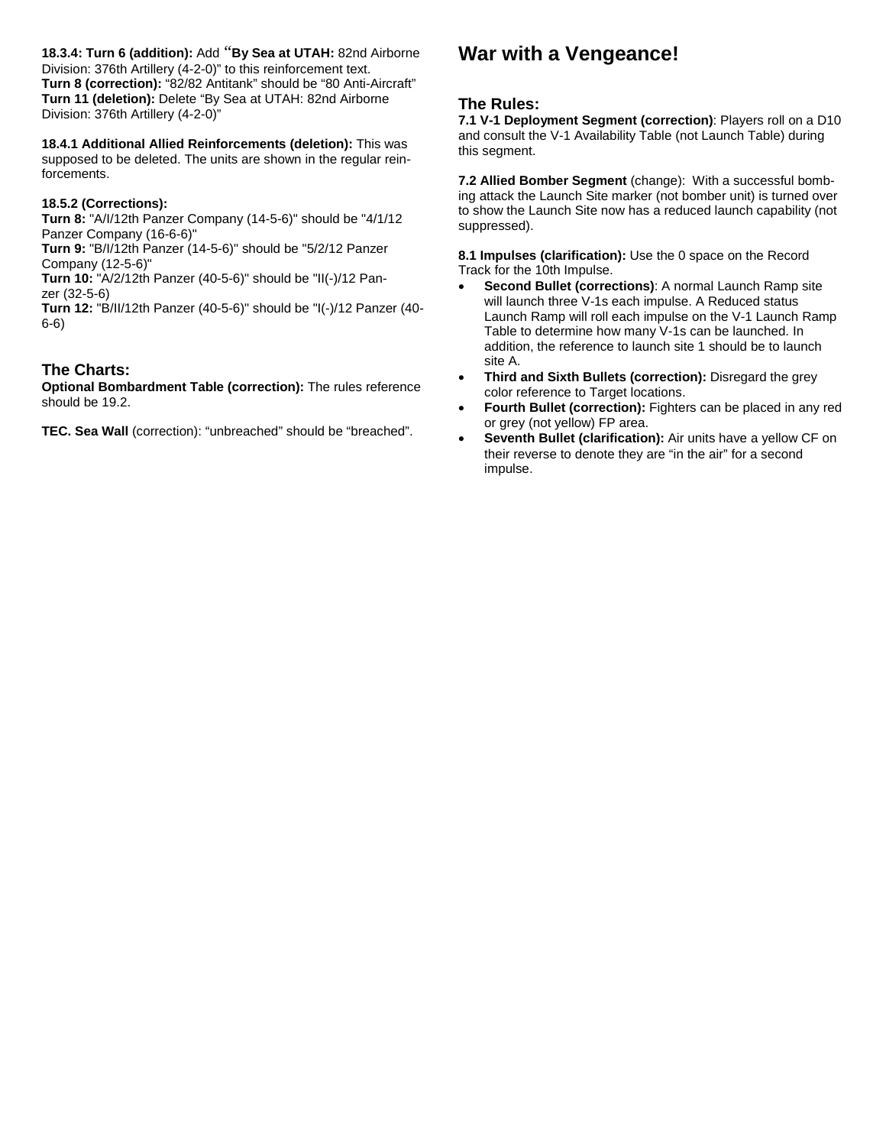**18.3.4: Turn 6 (addition):** Add "**By Sea at UTAH:** 82nd Airborne Division: 376th Artillery (4-2-0)" to this reinforcement text. **Turn 8 (correction):** "82/82 Antitank" should be "80 Anti-Aircraft" **Turn 11 (deletion):** Delete "By Sea at UTAH: 82nd Airborne Division: 376th Artillery (4-2-0)"

**18.4.1 Additional Allied Reinforcements (deletion):** This was supposed to be deleted. The units are shown in the regular reinforcements.

#### **18.5.2 (Corrections):**

**Turn 8:** "A/I/12th Panzer Company (14-5-6)" should be "4/1/12 Panzer Company (16-6-6)"

**Turn 9:** "B/I/12th Panzer (14-5-6)" should be "5/2/12 Panzer Company (12-5-6)"

**Turn 10:** "A/2/12th Panzer (40-5-6)" should be "II(-)/12 Panzer (32-5-6)

**Turn 12:** "B/II/12th Panzer (40-5-6)" should be "I(-)/12 Panzer (40- 6-6)

# **The Charts:**

**Optional Bombardment Table (correction):** The rules reference should be 19.2.

**TEC. Sea Wall** (correction): "unbreached" should be "breached".

# **War with a Vengeance!**

#### **The Rules:**

**7.1 V-1 Deployment Segment (correction)**: Players roll on a D10 and consult the V-1 Availability Table (not Launch Table) during this segment.

**7.2 Allied Bomber Segment** (change): With a successful bombing attack the Launch Site marker (not bomber unit) is turned over to show the Launch Site now has a reduced launch capability (not suppressed).

**8.1 Impulses (clarification):** Use the 0 space on the Record Track for the 10th Impulse.

- **Second Bullet (corrections)**: A normal Launch Ramp site will launch three V-1s each impulse. A Reduced status Launch Ramp will roll each impulse on the V-1 Launch Ramp Table to determine how many V-1s can be launched. In addition, the reference to launch site 1 should be to launch site A.
- **Third and Sixth Bullets (correction):** Disregard the grey color reference to Target locations.
- **Fourth Bullet (correction):** Fighters can be placed in any red or grey (not yellow) FP area.
- **Seventh Bullet (clarification):** Air units have a yellow CF on their reverse to denote they are "in the air" for a second impulse.